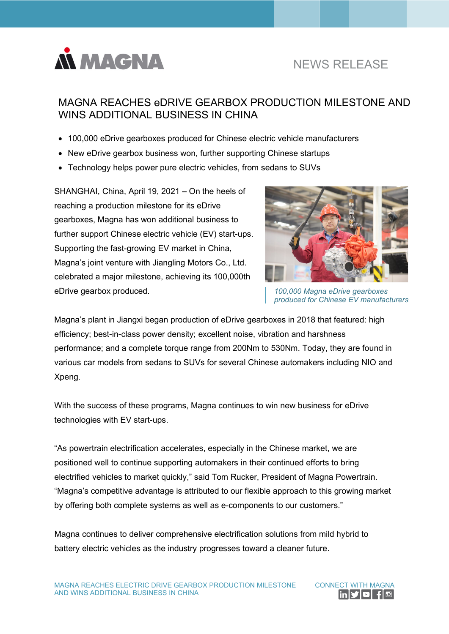

# NEWS RELEASE

# MAGNA REACHES eDRIVE GEARBOX PRODUCTION MILESTONE AND WINS ADDITIONAL BUSINESS IN CHINA

- 100,000 eDrive gearboxes produced for Chinese electric vehicle manufacturers
- New eDrive gearbox business won, further supporting Chinese startups
- Technology helps power pure electric vehicles, from sedans to SUVs

SHANGHAI, China, April 19, 2021 **–** On the heels of reaching a production milestone for its eDrive gearboxes, Magna has won additional business to further support Chinese electric vehicle (EV) start-ups. Supporting the fast-growing EV market in China, Magna's joint venture with Jiangling Motors Co., Ltd. celebrated a major milestone, achieving its 100,000th eDrive gearbox produced.



*100,000 Magna eDrive gearboxes produced for Chinese EV manufacturers*

Magna's plant in Jiangxi began production of eDrive gearboxes in 2018 that featured: high efficiency; best-in-class power density; excellent noise, vibration and harshness performance; and a complete torque range from 200Nm to 530Nm. Today, they are found in various car models from sedans to SUVs for several Chinese automakers including NIO and Xpeng.

With the success of these programs, Magna continues to win new business for eDrive technologies with EV start-ups.

"As powertrain electrification accelerates, especially in the Chinese market, we are positioned well to continue supporting automakers in their continued efforts to bring electrified vehicles to market quickly," said Tom Rucker, President of Magna Powertrain. "Magna's competitive advantage is attributed to our flexible approach to this growing market by offering both complete systems as well as e-components to our customers."

Magna continues to deliver comprehensive electrification solutions from mild hybrid to battery electric vehicles as the industry progresses toward a cleaner future.